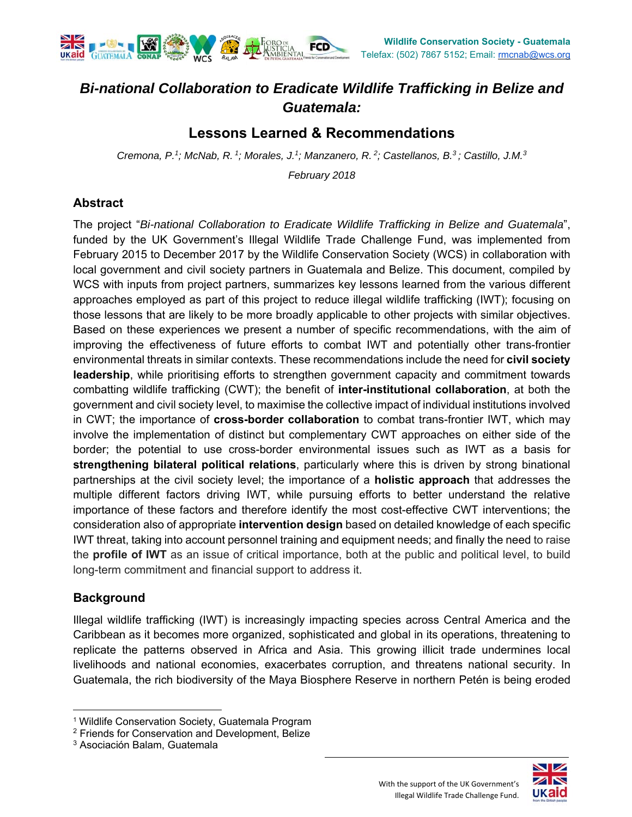

# *Bi-national Collaboration to Eradicate Wildlife Trafficking in Belize and Guatemala:*

## **Lessons Learned & Recommendations**

*Cremona, P.1; McNab, R. 1; Morales, J.1; Manzanero, R. 2; Castellanos, B.3 ; Castillo, J.M.3*

*February 2018* 

#### **Abstract**

The project "*Bi-national Collaboration to Eradicate Wildlife Trafficking in Belize and Guatemala*", funded by the UK Government's Illegal Wildlife Trade Challenge Fund, was implemented from February 2015 to December 2017 by the Wildlife Conservation Society (WCS) in collaboration with local government and civil society partners in Guatemala and Belize. This document, compiled by WCS with inputs from project partners, summarizes key lessons learned from the various different approaches employed as part of this project to reduce illegal wildlife trafficking (IWT); focusing on those lessons that are likely to be more broadly applicable to other projects with similar objectives. Based on these experiences we present a number of specific recommendations, with the aim of improving the effectiveness of future efforts to combat IWT and potentially other trans-frontier environmental threats in similar contexts. These recommendations include the need for **civil society leadership**, while prioritising efforts to strengthen government capacity and commitment towards combatting wildlife trafficking (CWT); the benefit of **inter-institutional collaboration**, at both the government and civil society level, to maximise the collective impact of individual institutions involved in CWT; the importance of **cross-border collaboration** to combat trans-frontier IWT, which may involve the implementation of distinct but complementary CWT approaches on either side of the border; the potential to use cross-border environmental issues such as IWT as a basis for **strengthening bilateral political relations**, particularly where this is driven by strong binational partnerships at the civil society level; the importance of a **holistic approach** that addresses the multiple different factors driving IWT, while pursuing efforts to better understand the relative importance of these factors and therefore identify the most cost-effective CWT interventions; the consideration also of appropriate **intervention design** based on detailed knowledge of each specific IWT threat, taking into account personnel training and equipment needs; and finally the need to raise the **profile of IWT** as an issue of critical importance, both at the public and political level, to build long-term commitment and financial support to address it.

### **Background**

Illegal wildlife trafficking (IWT) is increasingly impacting species across Central America and the Caribbean as it becomes more organized, sophisticated and global in its operations, threatening to replicate the patterns observed in Africa and Asia. This growing illicit trade undermines local livelihoods and national economies, exacerbates corruption, and threatens national security. In Guatemala, the rich biodiversity of the Maya Biosphere Reserve in northern Petén is being eroded



<sup>&</sup>lt;sup>1</sup> Wildlife Conservation Society, Guatemala Program

<sup>&</sup>lt;sup>2</sup> Friends for Conservation and Development, Belize

<sup>3</sup> Asociación Balam, Guatemala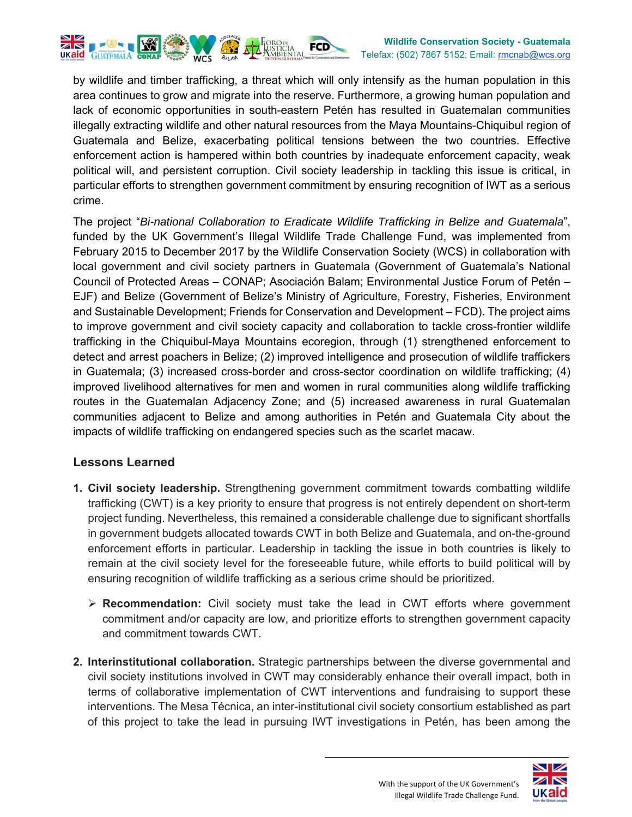

by wildlife and timber trafficking, a threat which will only intensify as the human population in this area continues to grow and migrate into the reserve. Furthermore, a growing human population and lack of economic opportunities in south-eastern Petén has resulted in Guatemalan communities illegally extracting wildlife and other natural resources from the Maya Mountains-Chiquibul region of Guatemala and Belize, exacerbating political tensions between the two countries. Effective enforcement action is hampered within both countries by inadequate enforcement capacity, weak political will, and persistent corruption. Civil society leadership in tackling this issue is critical, in particular efforts to strengthen government commitment by ensuring recognition of IWT as a serious crime.

The project "*Bi-national Collaboration to Eradicate Wildlife Trafficking in Belize and Guatemala*", funded by the UK Government's Illegal Wildlife Trade Challenge Fund, was implemented from February 2015 to December 2017 by the Wildlife Conservation Society (WCS) in collaboration with local government and civil society partners in Guatemala (Government of Guatemala's National Council of Protected Areas – CONAP; Asociación Balam; Environmental Justice Forum of Petén – EJF) and Belize (Government of Belize's Ministry of Agriculture, Forestry, Fisheries, Environment and Sustainable Development; Friends for Conservation and Development – FCD). The project aims to improve government and civil society capacity and collaboration to tackle cross-frontier wildlife trafficking in the Chiquibul-Maya Mountains ecoregion, through (1) strengthened enforcement to detect and arrest poachers in Belize; (2) improved intelligence and prosecution of wildlife traffickers in Guatemala; (3) increased cross-border and cross-sector coordination on wildlife trafficking; (4) improved livelihood alternatives for men and women in rural communities along wildlife trafficking routes in the Guatemalan Adjacency Zone; and (5) increased awareness in rural Guatemalan communities adjacent to Belize and among authorities in Petén and Guatemala City about the impacts of wildlife trafficking on endangered species such as the scarlet macaw.

#### **Lessons Learned**

- **1. Civil society leadership.** Strengthening government commitment towards combatting wildlife trafficking (CWT) is a key priority to ensure that progress is not entirely dependent on short-term project funding. Nevertheless, this remained a considerable challenge due to significant shortfalls in government budgets allocated towards CWT in both Belize and Guatemala, and on-the-ground enforcement efforts in particular. Leadership in tackling the issue in both countries is likely to remain at the civil society level for the foreseeable future, while efforts to build political will by ensuring recognition of wildlife trafficking as a serious crime should be prioritized.
	- **Recommendation:** Civil society must take the lead in CWT efforts where government commitment and/or capacity are low, and prioritize efforts to strengthen government capacity and commitment towards CWT.
- **2. Interinstitutional collaboration.** Strategic partnerships between the diverse governmental and civil society institutions involved in CWT may considerably enhance their overall impact, both in terms of collaborative implementation of CWT interventions and fundraising to support these interventions. The Mesa Técnica, an inter-institutional civil society consortium established as part of this project to take the lead in pursuing IWT investigations in Petén, has been among the

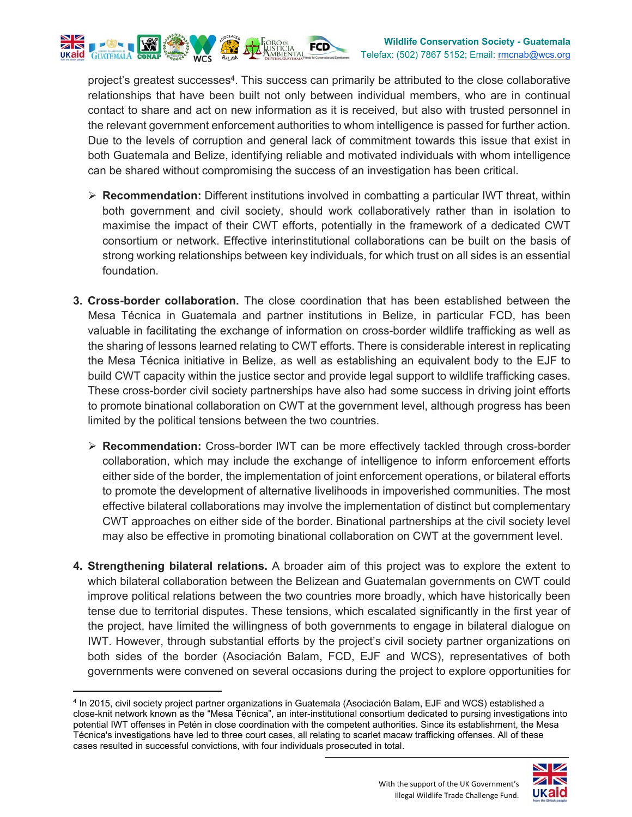

project's greatest successes4. This success can primarily be attributed to the close collaborative relationships that have been built not only between individual members, who are in continual contact to share and act on new information as it is received, but also with trusted personnel in the relevant government enforcement authorities to whom intelligence is passed for further action. Due to the levels of corruption and general lack of commitment towards this issue that exist in both Guatemala and Belize, identifying reliable and motivated individuals with whom intelligence can be shared without compromising the success of an investigation has been critical.

- **Recommendation:** Different institutions involved in combatting a particular IWT threat, within both government and civil society, should work collaboratively rather than in isolation to maximise the impact of their CWT efforts, potentially in the framework of a dedicated CWT consortium or network. Effective interinstitutional collaborations can be built on the basis of strong working relationships between key individuals, for which trust on all sides is an essential foundation.
- **3. Cross-border collaboration.** The close coordination that has been established between the Mesa Técnica in Guatemala and partner institutions in Belize, in particular FCD, has been valuable in facilitating the exchange of information on cross-border wildlife trafficking as well as the sharing of lessons learned relating to CWT efforts. There is considerable interest in replicating the Mesa Técnica initiative in Belize, as well as establishing an equivalent body to the EJF to build CWT capacity within the justice sector and provide legal support to wildlife trafficking cases. These cross-border civil society partnerships have also had some success in driving joint efforts to promote binational collaboration on CWT at the government level, although progress has been limited by the political tensions between the two countries.
	- **EXECOMMENDATION:** Cross-border IWT can be more effectively tackled through cross-border collaboration, which may include the exchange of intelligence to inform enforcement efforts either side of the border, the implementation of joint enforcement operations, or bilateral efforts to promote the development of alternative livelihoods in impoverished communities. The most effective bilateral collaborations may involve the implementation of distinct but complementary CWT approaches on either side of the border. Binational partnerships at the civil society level may also be effective in promoting binational collaboration on CWT at the government level.
- **4. Strengthening bilateral relations.** A broader aim of this project was to explore the extent to which bilateral collaboration between the Belizean and Guatemalan governments on CWT could improve political relations between the two countries more broadly, which have historically been tense due to territorial disputes. These tensions, which escalated significantly in the first year of the project, have limited the willingness of both governments to engage in bilateral dialogue on IWT. However, through substantial efforts by the project's civil society partner organizations on both sides of the border (Asociación Balam, FCD, EJF and WCS), representatives of both governments were convened on several occasions during the project to explore opportunities for

 4 In 2015, civil society project partner organizations in Guatemala (Asociación Balam, EJF and WCS) established a close-knit network known as the "Mesa Técnica", an inter-institutional consortium dedicated to pursing investigations into potential IWT offenses in Petén in close coordination with the competent authorities. Since its establishment, the Mesa Técnica's investigations have led to three court cases, all relating to scarlet macaw trafficking offenses. All of these cases resulted in successful convictions, with four individuals prosecuted in total.

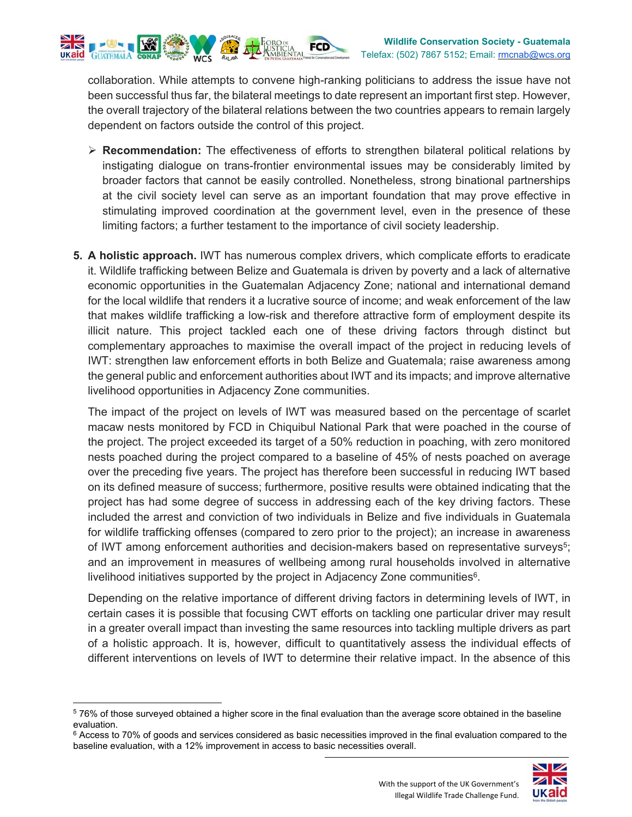

dependent on factors outside the control of this project.

 **Recommendation:** The effectiveness of efforts to strengthen bilateral political relations by instigating dialogue on trans-frontier environmental issues may be considerably limited by broader factors that cannot be easily controlled. Nonetheless, strong binational partnerships at the civil society level can serve as an important foundation that may prove effective in stimulating improved coordination at the government level, even in the presence of these limiting factors; a further testament to the importance of civil society leadership.

the overall trajectory of the bilateral relations between the two countries appears to remain largely

**5. A holistic approach.** IWT has numerous complex drivers, which complicate efforts to eradicate it. Wildlife trafficking between Belize and Guatemala is driven by poverty and a lack of alternative economic opportunities in the Guatemalan Adjacency Zone; national and international demand for the local wildlife that renders it a lucrative source of income; and weak enforcement of the law that makes wildlife trafficking a low-risk and therefore attractive form of employment despite its illicit nature. This project tackled each one of these driving factors through distinct but complementary approaches to maximise the overall impact of the project in reducing levels of IWT: strengthen law enforcement efforts in both Belize and Guatemala; raise awareness among the general public and enforcement authorities about IWT and its impacts; and improve alternative livelihood opportunities in Adjacency Zone communities.

The impact of the project on levels of IWT was measured based on the percentage of scarlet macaw nests monitored by FCD in Chiquibul National Park that were poached in the course of the project. The project exceeded its target of a 50% reduction in poaching, with zero monitored nests poached during the project compared to a baseline of 45% of nests poached on average over the preceding five years. The project has therefore been successful in reducing IWT based on its defined measure of success; furthermore, positive results were obtained indicating that the project has had some degree of success in addressing each of the key driving factors. These included the arrest and conviction of two individuals in Belize and five individuals in Guatemala for wildlife trafficking offenses (compared to zero prior to the project); an increase in awareness of IWT among enforcement authorities and decision-makers based on representative surveys<sup>5</sup>; and an improvement in measures of wellbeing among rural households involved in alternative livelihood initiatives supported by the project in Adjacency Zone communities<sup>6</sup>.

Depending on the relative importance of different driving factors in determining levels of IWT, in certain cases it is possible that focusing CWT efforts on tackling one particular driver may result in a greater overall impact than investing the same resources into tackling multiple drivers as part of a holistic approach. It is, however, difficult to quantitatively assess the individual effects of different interventions on levels of IWT to determine their relative impact. In the absence of this

 $6$  Access to 70% of goods and services considered as basic necessities improved in the final evaluation compared to the baseline evaluation, with a 12% improvement in access to basic necessities overall.



<sup>5 76%</sup> of those surveyed obtained a higher score in the final evaluation than the average score obtained in the baseline evaluation.